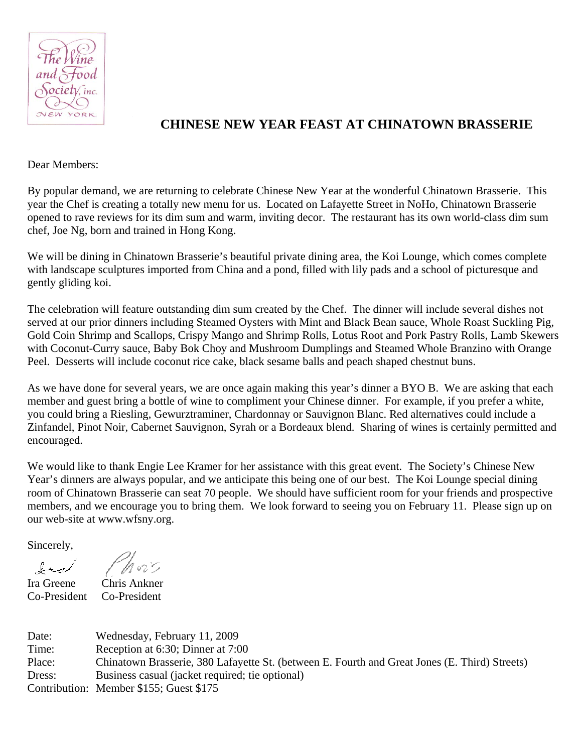

## **CHINESE NEW YEAR FEAST AT CHINATOWN BRASSERIE**

Dear Members:

By popular demand, we are returning to celebrate Chinese New Year at the wonderful Chinatown Brasserie. This year the Chef is creating a totally new menu for us. Located on Lafayette Street in NoHo, Chinatown Brasserie opened to rave reviews for its dim sum and warm, inviting decor. The restaurant has its own world-class dim sum chef, Joe Ng, born and trained in Hong Kong.

We will be dining in Chinatown Brasserie's beautiful private dining area, the Koi Lounge, which comes complete with landscape sculptures imported from China and a pond, filled with lily pads and a school of picturesque and gently gliding koi.

The celebration will feature outstanding dim sum created by the Chef. The dinner will include several dishes not served at our prior dinners including Steamed Oysters with Mint and Black Bean sauce, Whole Roast Suckling Pig, Gold Coin Shrimp and Scallops, Crispy Mango and Shrimp Rolls, Lotus Root and Pork Pastry Rolls, Lamb Skewers with Coconut-Curry sauce, Baby Bok Choy and Mushroom Dumplings and Steamed Whole Branzino with Orange Peel. Desserts will include coconut rice cake, black sesame balls and peach shaped chestnut buns.

As we have done for several years, we are once again making this year's dinner a BYO B. We are asking that each member and guest bring a bottle of wine to compliment your Chinese dinner. For example, if you prefer a white, you could bring a Riesling, Gewurztraminer, Chardonnay or Sauvignon Blanc. Red alternatives could include a Zinfandel, Pinot Noir, Cabernet Sauvignon, Syrah or a Bordeaux blend. Sharing of wines is certainly permitted and encouraged.

We would like to thank Engie Lee Kramer for her assistance with this great event. The Society's Chinese New Year's dinners are always popular, and we anticipate this being one of our best. The Koi Lounge special dining room of Chinatown Brasserie can seat 70 people. We should have sufficient room for your friends and prospective members, and we encourage you to bring them. We look forward to seeing you on February 11. Please sign up on our web-site at www.wfsny.org.

Sincerely,

Co-President Co-President

Ira Greene Chris Ankner

Date: Wednesday, February 11, 2009 Time: Reception at 6:30; Dinner at 7:00 Place: Chinatown Brasserie, 380 Lafayette St. (between E. Fourth and Great Jones (E. Third) Streets) Dress: Business casual (jacket required; tie optional) Contribution: Member \$155; Guest \$175